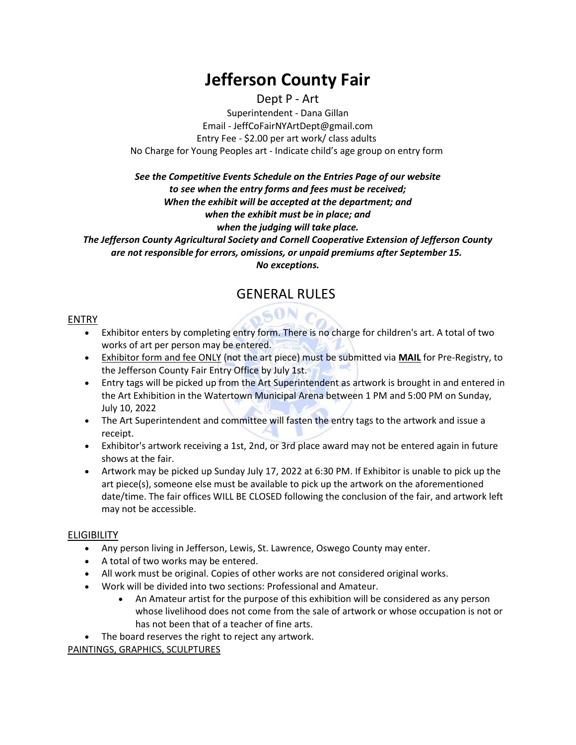# **Jefferson County Fair**

# Dept P - Art

Superintendent - Dana Gillan Email - JeffCoFairNYArtDept@gmail.com Entry Fee - \$2.00 per art work/ class adults No Charge for Young Peoples art - Indicate child's age group on entry form

# *See the Competitive Events Schedule on the Entries Page of our website to see when the entry forms and fees must be received; When the exhibit will be accepted at the department; and when the exhibit must be in place; and when the judging will take place. The Jefferson County Agricultural Society and Cornell Cooperative Extension of Jefferson County*

*are not responsible for errors, omissions, or unpaid premiums after September 15. No exceptions.*

# GENERAL RULES

 $50Nc$ 

# ENTRY

- Exhibitor enters by completing entry form. There is no charge for children's art. A total of two works of art per person may be entered.
- Exhibitor form and fee ONLY (not the art piece) must be submitted via **MAIL** for Pre-Registry, to the Jefferson County Fair Entry Office by July 1st.
- Entry tags will be picked up from the Art Superintendent as artwork is brought in and entered in the Art Exhibition in the Watertown Municipal Arena between 1 PM and 5:00 PM on Sunday, July 10, 2022
- The Art Superintendent and committee will fasten the entry tags to the artwork and issue a receipt.
- Exhibitor's artwork receiving a 1st, 2nd, or 3rd place award may not be entered again in future shows at the fair.
- Artwork may be picked up Sunday July 17, 2022 at 6:30 PM. If Exhibitor is unable to pick up the art piece(s), someone else must be available to pick up the artwork on the aforementioned date/time. The fair offices WILL BE CLOSED following the conclusion of the fair, and artwork left may not be accessible.

# ELIGIBILITY

- Any person living in Jefferson, Lewis, St. Lawrence, Oswego County may enter.
- A total of two works may be entered.
- All work must be original. Copies of other works are not considered original works.
- Work will be divided into two sections: Professional and Amateur.
	- An Amateur artist for the purpose of this exhibition will be considered as any person whose livelihood does not come from the sale of artwork or whose occupation is not or has not been that of a teacher of fine arts.
- The board reserves the right to reject any artwork.

# PAINTINGS, GRAPHICS, SCULPTURES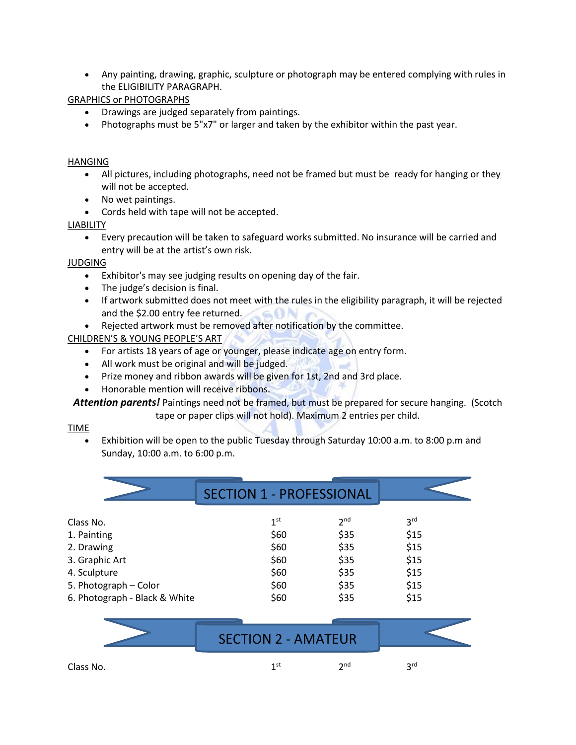• Any painting, drawing, graphic, sculpture or photograph may be entered complying with rules in the ELIGIBILITY PARAGRAPH.

GRAPHICS or PHOTOGRAPHS

- Drawings are judged separately from paintings.
- Photographs must be 5"x7" or larger and taken by the exhibitor within the past year.

#### HANGING

- All pictures, including photographs, need not be framed but must be ready for hanging or they will not be accepted.
- No wet paintings.
- Cords held with tape will not be accepted.

#### LIABILITY

• Every precaution will be taken to safeguard works submitted. No insurance will be carried and entry will be at the artist's own risk.

#### JUDGING

- Exhibitor's may see judging results on opening day of the fair.
- The judge's decision is final.
- If artwork submitted does not meet with the rules in the eligibility paragraph, it will be rejected and the \$2.00 entry fee returned.
- Rejected artwork must be removed after notification by the committee.

#### CHILDREN'S & YOUNG PEOPLE'S ART

- For artists 18 years of age or younger, please indicate age on entry form.
- All work must be original and will be judged.
- Prize money and ribbon awards will be given for 1st, 2nd and 3rd place.
- Honorable mention will receive ribbons.

*Attention parents!* Paintings need not be framed, but must be prepared for secure hanging. (Scotch

# tape or paper clips will not hold). Maximum 2 entries per child.

#### TIME

• Exhibition will be open to the public Tuesday through Saturday 10:00 a.m. to 8:00 p.m and Sunday, 10:00 a.m. to 6:00 p.m.

| 1 <sup>st</sup> | 2 <sub>nd</sub> | 3 <sup>rd</sup>                 |
|-----------------|-----------------|---------------------------------|
| \$60            | \$35            | \$15                            |
| \$60            | \$35            | \$15                            |
| \$60            | \$35            | \$15                            |
| \$60            | \$35            | \$15                            |
| \$60            | \$35            | \$15                            |
| \$60            | \$35            | \$15                            |
|                 |                 | <b>SECTION 1 - PROFESSIONAL</b> |

|           | <b>SECTION 2 - AMATEUR</b> |                      |            |  |
|-----------|----------------------------|----------------------|------------|--|
| Class No. | 1 st                       | $\mathsf{\gamma}$ nd | <b>2rd</b> |  |